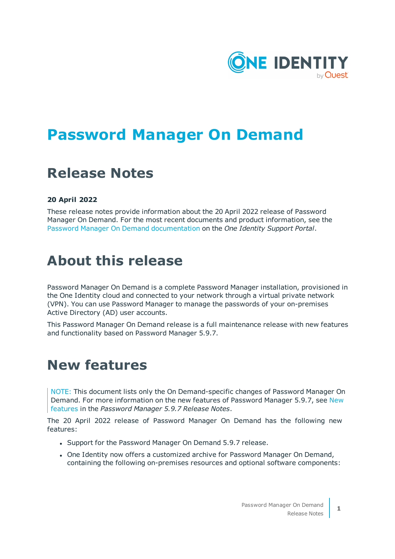

# **Password Manager On Demand**

## **Release Notes**

### **20 April 2022**

These release notes provide information about the 20 April 2022 release of Password Manager On Demand. For the most recent documents and product information, see the Password Manager On Demand [documentation](https://support.oneidentity.com/password-manager-on-demand/hosted/technical-documents) on the *One Identity Support Portal*.

### **About this release**

Password Manager On Demand is a complete Password Manager installation, provisioned in the One Identity cloud and connected to your network through a virtual private network (VPN). You can use Password Manager to manage the passwords of your on-premises Active Directory (AD) user accounts.

This Password Manager On Demand release is a full maintenance release with new features and functionality based on Password Manager 5.9.7.

### **New features**

NOTE: This document lists only the On Demand-specific changes of Password Manager On Demand. For more information on the new features of Password Manager 5.9.7, see [New](http://support.oneidentity.com/technical-documents/password-manager/5.9.7/release-notes/one-identity-password-manager-5-9-7/new-features) [features](http://support.oneidentity.com/technical-documents/password-manager/5.9.7/release-notes/one-identity-password-manager-5-9-7/new-features) in the *Password Manager 5.9.7 Release Notes*.

The 20 April 2022 release of Password Manager On Demand has the following new features:

- Support for the Password Manager On Demand 5.9.7 release.
- One Identity now offers a customized archive for Password Manager On Demand, containing the following on-premises resources and optional software components:

**1**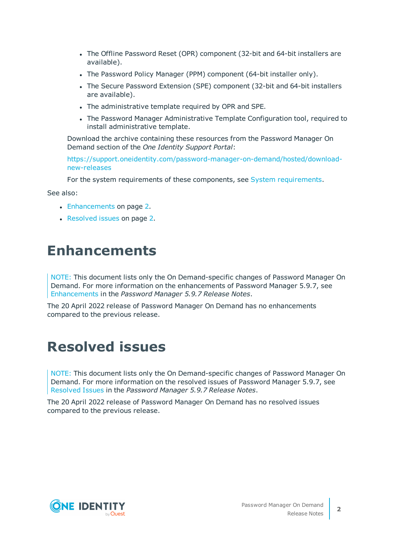- The Offline Password Reset (OPR) component (32-bit and 64-bit installers are available).
- The Password Policy Manager (PPM) component (64-bit installer only).
- The Secure Password Extension (SPE) component (32-bit and 64-bit installers are available).
- The administrative template required by OPR and SPE.
- The Password Manager Administrative Template Configuration tool, required to install administrative template.

Download the archive containing these resources from the Password Manager On Demand section of the *One Identity Support Portal*:

[https://support.oneidentity.com/password-manager-on-demand/hosted/download](https://support.oneidentity.com/password-manager-on-demand/hosted/download-new-releases)[new-releases](https://support.oneidentity.com/password-manager-on-demand/hosted/download-new-releases)

For the system [requirements](#page-2-0) of these components, see System requirements.

See also:

- [Enhancements](#page-1-0) on page 2.
- <span id="page-1-0"></span>• [Resolved](#page-1-1) issues on page 2.

### **Enhancements**

NOTE: This document lists only the On Demand-specific changes of Password Manager On Demand. For more information on the enhancements of Password Manager 5.9.7, see [Enhancements](http://support.oneidentity.com/technical-documents/password-manager/5.9.7/release-notes/one-identity-password-manager-5-9-7/enhancements) in the *Password Manager 5.9.7 Release Notes*.

The 20 April 2022 release of Password Manager On Demand has no enhancements compared to the previous release.

## <span id="page-1-1"></span>**Resolved issues**

NOTE: This document lists only the On Demand-specific changes of Password Manager On Demand. For more information on the resolved issues of Password Manager 5.9.7, see [Resolved](http://support.oneidentity.com/technical-documents/password-manager/5.9.7/release-notes/one-identity-password-manager-5-9-7/resolved-issues) Issues in the *Password Manager 5.9.7 Release Notes*.

The 20 April 2022 release of Password Manager On Demand has no resolved issues compared to the previous release.

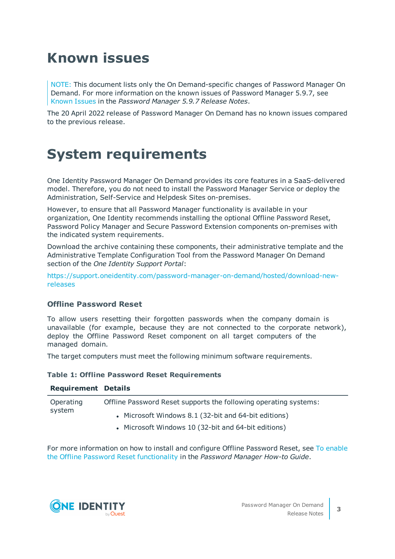# **Known issues**

NOTE: This document lists only the On Demand-specific changes of Password Manager On Demand. For more information on the known issues of Password Manager 5.9.7, see [Known](http://support.oneidentity.com/technical-documents/password-manager/5.9.7/release-notes/one-identity-password-manager-5-9-7/known-issues) Issues in the *Password Manager 5.9.7 Release Notes*.

The 20 April 2022 release of Password Manager On Demand has no known issues compared to the previous release.

## <span id="page-2-0"></span>**System requirements**

One Identity Password Manager On Demand provides its core features in a SaaS-delivered model. Therefore, you do not need to install the Password Manager Service or deploy the Administration, Self-Service and Helpdesk Sites on-premises.

However, to ensure that all Password Manager functionality is available in your organization, One Identity recommends installing the optional Offline Password Reset, Password Policy Manager and Secure Password Extension components on-premises with the indicated system requirements.

Download the archive containing these components, their administrative template and the Administrative Template Configuration Tool from the Password Manager On Demand section of the *One Identity Support Portal*:

[https://support.oneidentity.com/password-manager-on-demand/hosted/download-new](https://support.oneidentity.com/password-manager-on-demand/hosted/download-new-releases)[releases](https://support.oneidentity.com/password-manager-on-demand/hosted/download-new-releases)

### **Offline Password Reset**

**Requirement Details**

To allow users resetting their forgotten passwords when the company domain is unavailable (for example, because they are not connected to the corporate network), deploy the Offline Password Reset component on all target computers of the managed domain.

The target computers must meet the following minimum software requirements.

#### **Table 1: Offline Password Reset Requirements**

| Requirement Details |                                                                  |
|---------------------|------------------------------------------------------------------|
| Operating           | Offline Password Reset supports the following operating systems: |
| system              | • Microsoft Windows 8.1 (32-bit and 64-bit editions)             |
|                     | • Microsoft Windows 10 (32-bit and 64-bit editions)              |

For more information on how to install and configure Offline Password Reset, see To [enable](http://support.oneidentity.com/technical-documents/password-manager/how-to-guide/secure-password-extension/offline-password-reset/to-enable-the-offline-password-reset-functionality) the Offline Password Reset [functionality](http://support.oneidentity.com/technical-documents/password-manager/how-to-guide/secure-password-extension/offline-password-reset/to-enable-the-offline-password-reset-functionality) in the *Password Manager How-to Guide*.

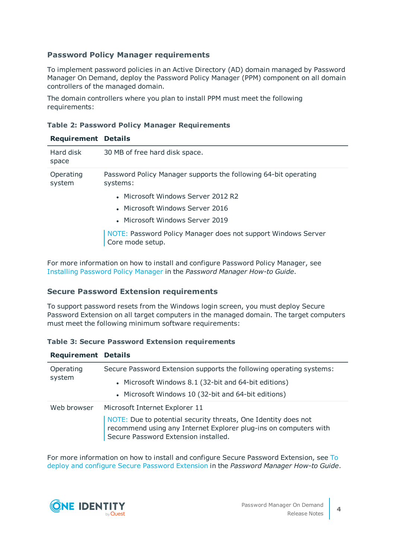### **Password Policy Manager requirements**

To implement password policies in an Active Directory (AD) domain managed by Password Manager On Demand, deploy the Password Policy Manager (PPM) component on all domain controllers of the managed domain.

The domain controllers where you plan to install PPM must meet the following requirements:

|  |  |  |  |  | Table 2: Password Policy Manager Requirements |
|--|--|--|--|--|-----------------------------------------------|
|--|--|--|--|--|-----------------------------------------------|

| <b>Requirement Details</b> |
|----------------------------|
|----------------------------|

| Hard disk<br>space  | 30 MB of free hard disk space.                                                                           |
|---------------------|----------------------------------------------------------------------------------------------------------|
| Operating<br>system | Password Policy Manager supports the following 64-bit operating<br>systems:                              |
|                     | • Microsoft Windows Server 2012 R2<br>• Microsoft Windows Server 2016<br>• Microsoft Windows Server 2019 |
|                     | NOTE: Password Policy Manager does not support Windows Server<br>Core mode setup.                        |

For more information on how to install and configure Password Policy Manager, see Installing [Password](http://support.oneidentity.com/technical-documents/password-manager/how-to-guide/password-policy-manager/installing-password-policy-manager) Policy Manager in the *Password Manager How-to Guide*.

### **Secure Password Extension requirements**

To support password resets from the Windows login screen, you must deploy Secure Password Extension on all target computers in the managed domain. The target computers must meet the following minimum software requirements:

#### **Table 3: Secure Password Extension requirements**

| <b>Requirement Details</b> |                                                                                                                                                                            |
|----------------------------|----------------------------------------------------------------------------------------------------------------------------------------------------------------------------|
| Operating<br>system        | Secure Password Extension supports the following operating systems:                                                                                                        |
|                            | • Microsoft Windows 8.1 (32-bit and 64-bit editions)                                                                                                                       |
|                            | • Microsoft Windows 10 (32-bit and 64-bit editions)                                                                                                                        |
| Web browser                | Microsoft Internet Explorer 11                                                                                                                                             |
|                            | NOTE: Due to potential security threats, One Identity does not<br>recommend using any Internet Explorer plug-ins on computers with<br>Secure Password Extension installed. |

For more information on how to install and configure Secure Password Extension, see [To](http://support.oneidentity.com/technical-documents/password-manager/how-to-guide/upgrading/upgrading-the-secure-password-extension/to-deploy-and-configure-secure-password-extension) deploy and configure Secure Password [Extension](http://support.oneidentity.com/technical-documents/password-manager/how-to-guide/upgrading/upgrading-the-secure-password-extension/to-deploy-and-configure-secure-password-extension) in the *Password Manager How-to Guide*.

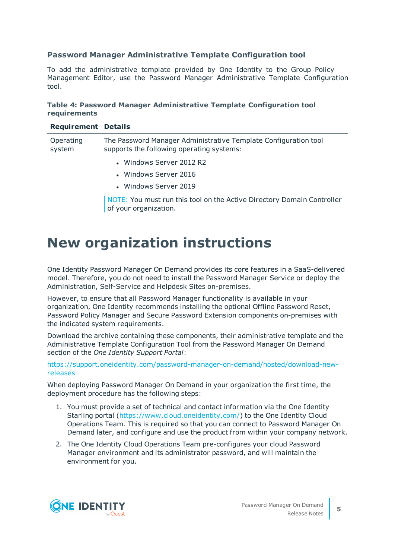### **Password Manager Administrative Template Configuration tool**

To add the administrative template provided by One Identity to the Group Policy Management Editor, use the Password Manager Administrative Template Configuration tool.

#### **Table 4: Password Manager Administrative Template Configuration tool requirements**

#### **Requirement Details**

| Operating<br>system | The Password Manager Administrative Template Configuration tool<br>supports the following operating systems: |
|---------------------|--------------------------------------------------------------------------------------------------------------|
|                     | • Windows Server 2012 R2                                                                                     |
|                     | • Windows Server 2016                                                                                        |
|                     | • Windows Server 2019                                                                                        |
|                     | NOTE: You must run this tool on the Active Directory Domain Controller<br>of your organization.              |

### **New organization instructions**

One Identity Password Manager On Demand provides its core features in a SaaS-delivered model. Therefore, you do not need to install the Password Manager Service or deploy the Administration, Self-Service and Helpdesk Sites on-premises.

However, to ensure that all Password Manager functionality is available in your organization, One Identity recommends installing the optional Offline Password Reset, Password Policy Manager and Secure Password Extension components on-premises with the indicated system requirements.

Download the archive containing these components, their administrative template and the Administrative Template Configuration Tool from the Password Manager On Demand section of the *One Identity Support Portal*:

[https://support.oneidentity.com/password-manager-on-demand/hosted/download-new](https://support.oneidentity.com/password-manager-on-demand/hosted/download-new-releases)[releases](https://support.oneidentity.com/password-manager-on-demand/hosted/download-new-releases)

When deploying Password Manager On Demand in your organization the first time, the deployment procedure has the following steps:

- 1. You must provide a set of technical and contact information via the One Identity Starling portal [\(https://www.cloud.oneidentity.com/\)](https://www.cloud.oneidentity.com/) to the One Identity Cloud Operations Team. This is required so that you can connect to Password Manager On Demand later, and configure and use the product from within your company network.
- 2. The One Identity Cloud Operations Team pre-configures your cloud Password Manager environment and its administrator password, and will maintain the environment for you.

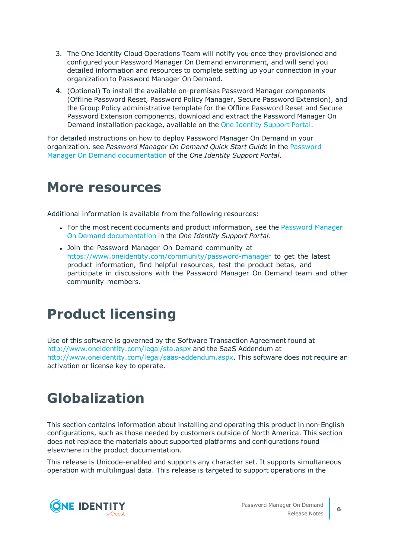- 3. The One Identity Cloud Operations Team will notify you once they provisioned and configured your Password Manager On Demand environment, and will send you detailed information and resources to complete setting up your connection in your organization to Password Manager On Demand.
- 4. (Optional) To install the available on-premises Password Manager components (Offline Password Reset, Password Policy Manager, Secure Password Extension), and the Group Policy administrative template for the Offline Password Reset and Secure Password Extension components, download and extract the Password Manager On Demand installation package, available on the One Identity [Support](https://support.oneidentity.com/password-manager-on-demand/hosted/download-new-releases) Portal.

For detailed instructions on how to deploy Password Manager On Demand in your organization, see *Password Manager On Demand Quick Start Guide* in the [Password](https://support.oneidentity.com/password-manager-on-demand/hosted/technical-documents) Manager On Demand [documentation](https://support.oneidentity.com/password-manager-on-demand/hosted/technical-documents) of the *One Identity Support Portal*.

### **More resources**

Additional information is available from the following resources:

- For the most recent documents and product information, see the [Password](https://support.oneidentity.com/password-manager-on-demand/hosted/technical-documents) Manager On Demand [documentation](https://support.oneidentity.com/password-manager-on-demand/hosted/technical-documents) in the *One Identity Support Portal*.
- Join the Password Manager On Demand community at <https://www.oneidentity.com/community/password-manager> to get the latest product information, find helpful resources, test the product betas, and participate in discussions with the Password Manager On Demand team and other community members.

# **Product licensing**

Use of this software is governed by the Software Transaction Agreement found at <http://www.oneidentity.com/legal/sta.aspx> and the SaaS Addendum at [http://www.oneidentity.com/legal/saas-addendum.aspx.](http://www.oneidentity.com/legal/saas-addendum.aspx) This software does not require an activation or license key to operate.

# **Globalization**

This section contains information about installing and operating this product in non-English configurations, such as those needed by customers outside of North America. This section does not replace the materials about supported platforms and configurations found elsewhere in the product documentation.

This release is Unicode-enabled and supports any character set. It supports simultaneous operation with multilingual data. This release is targeted to support operations in the

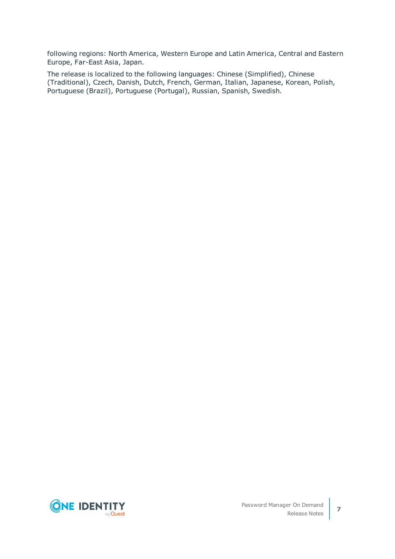following regions: North America, Western Europe and Latin America, Central and Eastern Europe, Far-East Asia, Japan.

The release is localized to the following languages: Chinese (Simplified), Chinese (Traditional), Czech, Danish, Dutch, French, German, Italian, Japanese, Korean, Polish, Portuguese (Brazil), Portuguese (Portugal), Russian, Spanish, Swedish.

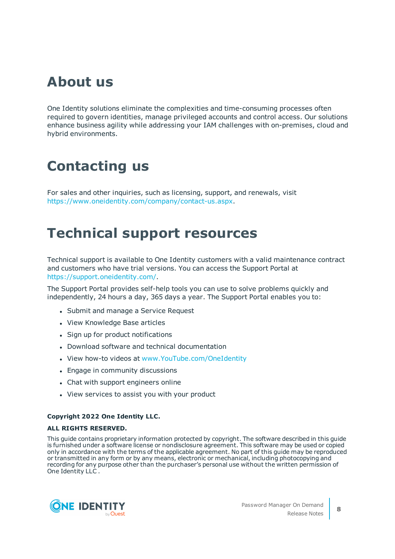## **About us**

One Identity solutions eliminate the complexities and time-consuming processes often required to govern identities, manage privileged accounts and control access. Our solutions enhance business agility while addressing your IAM challenges with on-premises, cloud and hybrid environments.

# **Contacting us**

For sales and other inquiries, such as licensing, support, and renewals, visit <https://www.oneidentity.com/company/contact-us.aspx>.

## **Technical support resources**

Technical support is available to One Identity customers with a valid maintenance contract and customers who have trial versions. You can access the Support Portal at [https://support.oneidentity.com/.](https://support.oneidentity.com/)

The Support Portal provides self-help tools you can use to solve problems quickly and independently, 24 hours a day, 365 days a year. The Support Portal enables you to:

- Submit and manage a Service Request
- View Knowledge Base articles
- Sign up for product notifications
- Download software and technical documentation
- View how-to videos at [www.YouTube.com/OneIdentity](http://www.youtube.com/OneIdentity)
- Engage in community discussions
- Chat with support engineers online
- View services to assist you with your product

#### **Copyright 2022 One Identity LLC.**

#### **ALL RIGHTS RESERVED.**

This guide contains proprietary information protected by copyright. The software described in this guide is furnished under a software license or nondisclosure agreement. This software may be used or copied only in accordance with the terms of the applicable agreement. No part of this guide may be reproduced or transmitted in any form or by any means, electronic or mechanical, including photocopying and recording for any purpose other than the purchaser's personal use without the written permission of One Identity LLC .



**8**